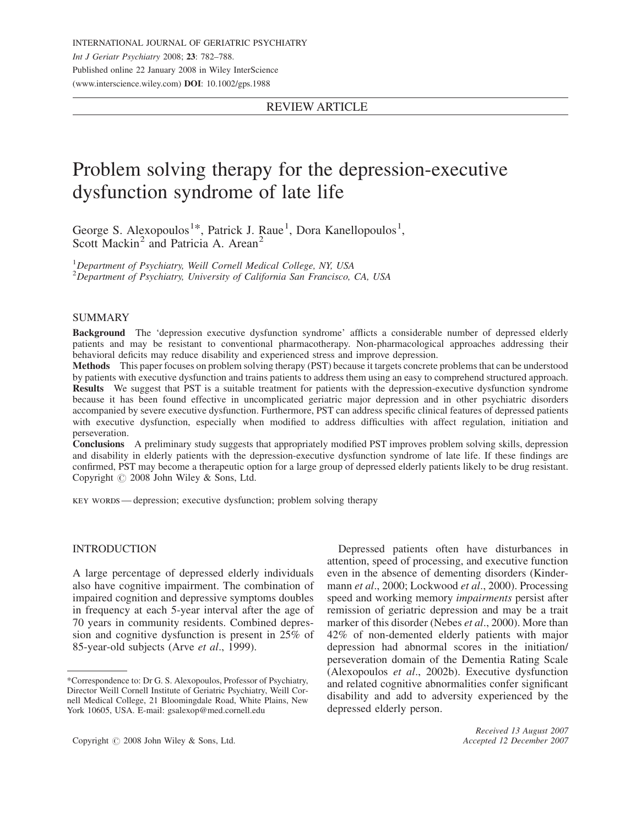### REVIEW ARTICLE

# Problem solving therapy for the depression-executive dysfunction syndrome of late life

George S. Alexopoulos<sup>1\*</sup>, Patrick J. Raue<sup>1</sup>, Dora Kanellopoulos<sup>1</sup>, Scott Mackin<sup>2</sup> and Patricia A. Arean<sup>2</sup>

<sup>1</sup>Department of Psychiatry, Weill Cornell Medical College, NY, USA <sup>2</sup>Department of Psychiatry, University of California San Francisco, CA, USA

## SUMMARY

Background The 'depression executive dysfunction syndrome' afflicts a considerable number of depressed elderly patients and may be resistant to conventional pharmacotherapy. Non-pharmacological approaches addressing their behavioral deficits may reduce disability and experienced stress and improve depression.

Methods This paper focuses on problem solving therapy (PST) because it targets concrete problems that can be understood by patients with executive dysfunction and trains patients to address them using an easy to comprehend structured approach. Results We suggest that PST is a suitable treatment for patients with the depression-executive dysfunction syndrome because it has been found effective in uncomplicated geriatric major depression and in other psychiatric disorders accompanied by severe executive dysfunction. Furthermore, PST can address specific clinical features of depressed patients with executive dysfunction, especially when modified to address difficulties with affect regulation, initiation and perseveration.

Conclusions A preliminary study suggests that appropriately modified PST improves problem solving skills, depression and disability in elderly patients with the depression-executive dysfunction syndrome of late life. If these findings are confirmed, PST may become a therapeutic option for a large group of depressed elderly patients likely to be drug resistant. Copyright  $\odot$  2008 John Wiley & Sons, Ltd.

key words— depression; executive dysfunction; problem solving therapy

## **INTRODUCTION**

A large percentage of depressed elderly individuals also have cognitive impairment. The combination of impaired cognition and depressive symptoms doubles in frequency at each 5-year interval after the age of 70 years in community residents. Combined depression and cognitive dysfunction is present in 25% of 85-year-old subjects (Arve et al., 1999).

Depressed patients often have disturbances in attention, speed of processing, and executive function even in the absence of dementing disorders (Kindermann et al., 2000; Lockwood et al., 2000). Processing speed and working memory impairments persist after remission of geriatric depression and may be a trait marker of this disorder (Nebes et al., 2000). More than 42% of non-demented elderly patients with major depression had abnormal scores in the initiation/ perseveration domain of the Dementia Rating Scale (Alexopoulos et al., 2002b). Executive dysfunction and related cognitive abnormalities confer significant disability and add to adversity experienced by the depressed elderly person.

<sup>\*</sup>Correspondence to: Dr G. S. Alexopoulos, Professor of Psychiatry, Director Weill Cornell Institute of Geriatric Psychiatry, Weill Cornell Medical College, 21 Bloomingdale Road, White Plains, New York 10605, USA. E-mail: gsalexop@med.cornell.edu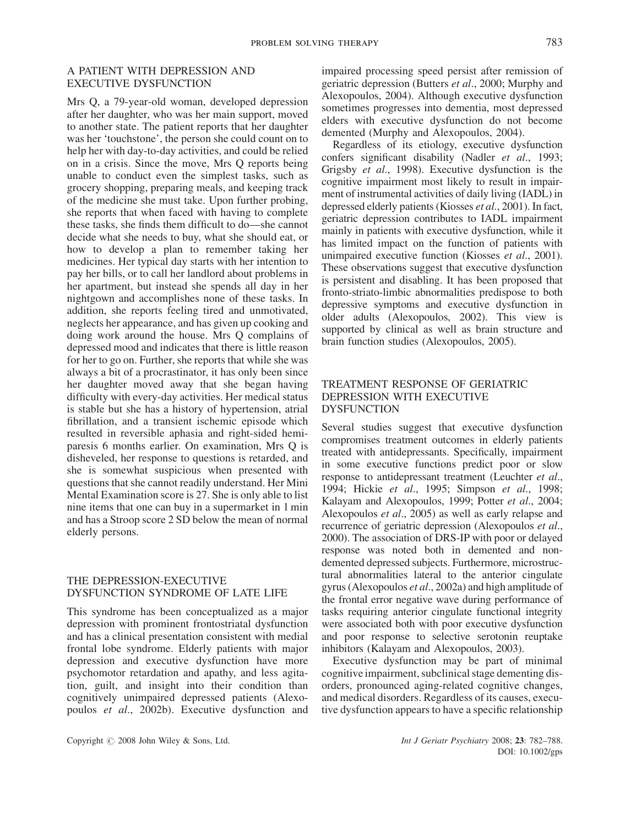## A PATIENT WITH DEPRESSION AND EXECUTIVE DYSFUNCTION

Mrs Q, a 79-year-old woman, developed depression after her daughter, who was her main support, moved to another state. The patient reports that her daughter was her 'touchstone', the person she could count on to help her with day-to-day activities, and could be relied on in a crisis. Since the move, Mrs Q reports being unable to conduct even the simplest tasks, such as grocery shopping, preparing meals, and keeping track of the medicine she must take. Upon further probing, she reports that when faced with having to complete these tasks, she finds them difficult to do––she cannot decide what she needs to buy, what she should eat, or how to develop a plan to remember taking her medicines. Her typical day starts with her intention to pay her bills, or to call her landlord about problems in her apartment, but instead she spends all day in her nightgown and accomplishes none of these tasks. In addition, she reports feeling tired and unmotivated, neglects her appearance, and has given up cooking and doing work around the house. Mrs Q complains of depressed mood and indicates that there is little reason for her to go on. Further, she reports that while she was always a bit of a procrastinator, it has only been since her daughter moved away that she began having difficulty with every-day activities. Her medical status is stable but she has a history of hypertension, atrial fibrillation, and a transient ischemic episode which resulted in reversible aphasia and right-sided hemiparesis 6 months earlier. On examination, Mrs Q is disheveled, her response to questions is retarded, and she is somewhat suspicious when presented with questions that she cannot readily understand. Her Mini Mental Examination score is 27. She is only able to list nine items that one can buy in a supermarket in 1 min and has a Stroop score 2 SD below the mean of normal elderly persons.

#### THE DEPRESSION-EXECUTIVE DYSFUNCTION SYNDROME OF LATE LIFE

This syndrome has been conceptualized as a major depression with prominent frontostriatal dysfunction and has a clinical presentation consistent with medial frontal lobe syndrome. Elderly patients with major depression and executive dysfunction have more psychomotor retardation and apathy, and less agitation, guilt, and insight into their condition than cognitively unimpaired depressed patients (Alexopoulos et al., 2002b). Executive dysfunction and impaired processing speed persist after remission of geriatric depression (Butters et al., 2000; Murphy and Alexopoulos, 2004). Although executive dysfunction sometimes progresses into dementia, most depressed elders with executive dysfunction do not become demented (Murphy and Alexopoulos, 2004).

Regardless of its etiology, executive dysfunction confers significant disability (Nadler et al., 1993; Grigsby et al., 1998). Executive dysfunction is the cognitive impairment most likely to result in impairment of instrumental activities of daily living (IADL) in depressed elderly patients (Kiosses et al., 2001). In fact, geriatric depression contributes to IADL impairment mainly in patients with executive dysfunction, while it has limited impact on the function of patients with unimpaired executive function (Kiosses et al., 2001). These observations suggest that executive dysfunction is persistent and disabling. It has been proposed that fronto-striato-limbic abnormalities predispose to both depressive symptoms and executive dysfunction in older adults (Alexopoulos, 2002). This view is supported by clinical as well as brain structure and brain function studies (Alexopoulos, 2005).

## TREATMENT RESPONSE OF GERIATRIC DEPRESSION WITH EXECUTIVE DYSFUNCTION

Several studies suggest that executive dysfunction compromises treatment outcomes in elderly patients treated with antidepressants. Specifically, impairment in some executive functions predict poor or slow response to antidepressant treatment (Leuchter et al., 1994; Hickie et al., 1995; Simpson et al., 1998; Kalayam and Alexopoulos, 1999; Potter et al., 2004; Alexopoulos et al., 2005) as well as early relapse and recurrence of geriatric depression (Alexopoulos et al., 2000). The association of DRS-IP with poor or delayed response was noted both in demented and nondemented depressed subjects. Furthermore, microstructural abnormalities lateral to the anterior cingulate gyrus (Alexopoulos et al., 2002a) and high amplitude of the frontal error negative wave during performance of tasks requiring anterior cingulate functional integrity were associated both with poor executive dysfunction and poor response to selective serotonin reuptake inhibitors (Kalayam and Alexopoulos, 2003).

Executive dysfunction may be part of minimal cognitive impairment, subclinical stage dementing disorders, pronounced aging-related cognitive changes, and medical disorders. Regardless of its causes, executive dysfunction appears to have a specific relationship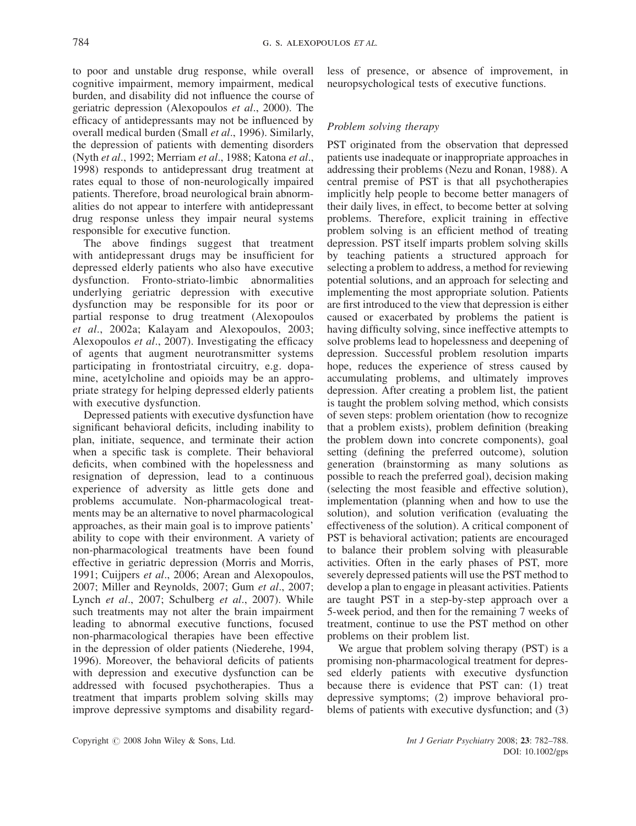to poor and unstable drug response, while overall cognitive impairment, memory impairment, medical burden, and disability did not influence the course of geriatric depression (Alexopoulos et al., 2000). The efficacy of antidepressants may not be influenced by overall medical burden (Small et al., 1996). Similarly, the depression of patients with dementing disorders (Nyth et al., 1992; Merriam et al., 1988; Katona et al., 1998) responds to antidepressant drug treatment at rates equal to those of non-neurologically impaired patients. Therefore, broad neurological brain abnormalities do not appear to interfere with antidepressant drug response unless they impair neural systems responsible for executive function.

The above findings suggest that treatment with antidepressant drugs may be insufficient for depressed elderly patients who also have executive dysfunction. Fronto-striato-limbic abnormalities underlying geriatric depression with executive dysfunction may be responsible for its poor or partial response to drug treatment (Alexopoulos et al., 2002a; Kalayam and Alexopoulos, 2003; Alexopoulos et al., 2007). Investigating the efficacy of agents that augment neurotransmitter systems participating in frontostriatal circuitry, e.g. dopamine, acetylcholine and opioids may be an appropriate strategy for helping depressed elderly patients with executive dysfunction.

Depressed patients with executive dysfunction have significant behavioral deficits, including inability to plan, initiate, sequence, and terminate their action when a specific task is complete. Their behavioral deficits, when combined with the hopelessness and resignation of depression, lead to a continuous experience of adversity as little gets done and problems accumulate. Non-pharmacological treatments may be an alternative to novel pharmacological approaches, as their main goal is to improve patients' ability to cope with their environment. A variety of non-pharmacological treatments have been found effective in geriatric depression (Morris and Morris, 1991; Cuijpers et al., 2006; Arean and Alexopoulos, 2007; Miller and Reynolds, 2007; Gum et al., 2007; Lynch et al., 2007; Schulberg et al., 2007). While such treatments may not alter the brain impairment leading to abnormal executive functions, focused non-pharmacological therapies have been effective in the depression of older patients (Niederehe, 1994, 1996). Moreover, the behavioral deficits of patients with depression and executive dysfunction can be addressed with focused psychotherapies. Thus a treatment that imparts problem solving skills may improve depressive symptoms and disability regardless of presence, or absence of improvement, in neuropsychological tests of executive functions.

## Problem solving therapy

PST originated from the observation that depressed patients use inadequate or inappropriate approaches in addressing their problems (Nezu and Ronan, 1988). A central premise of PST is that all psychotherapies implicitly help people to become better managers of their daily lives, in effect, to become better at solving problems. Therefore, explicit training in effective problem solving is an efficient method of treating depression. PST itself imparts problem solving skills by teaching patients a structured approach for selecting a problem to address, a method for reviewing potential solutions, and an approach for selecting and implementing the most appropriate solution. Patients are first introduced to the view that depression is either caused or exacerbated by problems the patient is having difficulty solving, since ineffective attempts to solve problems lead to hopelessness and deepening of depression. Successful problem resolution imparts hope, reduces the experience of stress caused by accumulating problems, and ultimately improves depression. After creating a problem list, the patient is taught the problem solving method, which consists of seven steps: problem orientation (how to recognize that a problem exists), problem definition (breaking the problem down into concrete components), goal setting (defining the preferred outcome), solution generation (brainstorming as many solutions as possible to reach the preferred goal), decision making (selecting the most feasible and effective solution), implementation (planning when and how to use the solution), and solution verification (evaluating the effectiveness of the solution). A critical component of PST is behavioral activation; patients are encouraged to balance their problem solving with pleasurable activities. Often in the early phases of PST, more severely depressed patients will use the PST method to develop a plan to engage in pleasant activities. Patients are taught PST in a step-by-step approach over a 5-week period, and then for the remaining 7 weeks of treatment, continue to use the PST method on other problems on their problem list.

We argue that problem solving therapy (PST) is a promising non-pharmacological treatment for depressed elderly patients with executive dysfunction because there is evidence that PST can: (1) treat depressive symptoms; (2) improve behavioral problems of patients with executive dysfunction; and (3)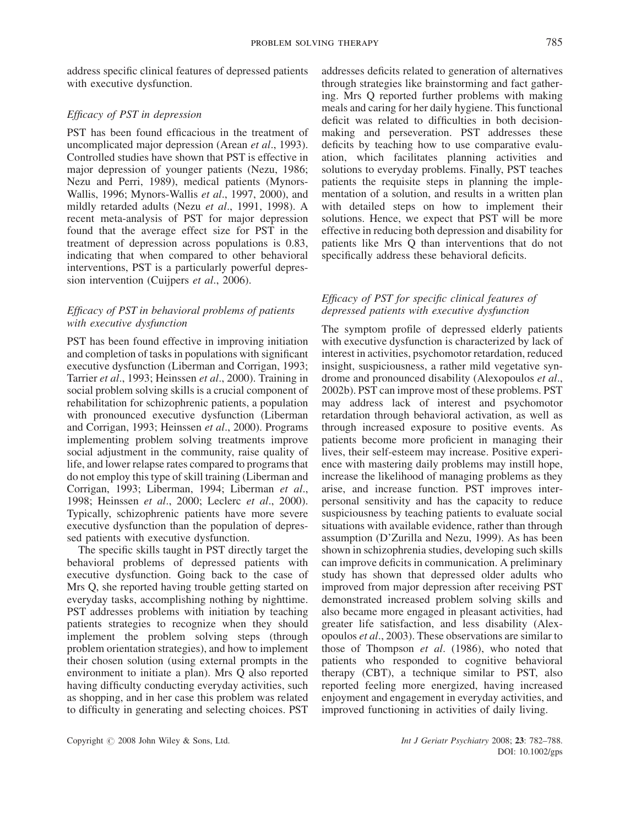address specific clinical features of depressed patients with executive dysfunction.

#### Efficacy of PST in depression

PST has been found efficacious in the treatment of uncomplicated major depression (Arean et al., 1993). Controlled studies have shown that PST is effective in major depression of younger patients (Nezu, 1986; Nezu and Perri, 1989), medical patients (Mynors-Wallis, 1996; Mynors-Wallis et al., 1997, 2000), and mildly retarded adults (Nezu et al., 1991, 1998). A recent meta-analysis of PST for major depression found that the average effect size for PST in the treatment of depression across populations is 0.83, indicating that when compared to other behavioral interventions, PST is a particularly powerful depression intervention (Cuijpers *et al.*, 2006).

#### Efficacy of PST in behavioral problems of patients with executive dysfunction

PST has been found effective in improving initiation and completion of tasks in populations with significant executive dysfunction (Liberman and Corrigan, 1993; Tarrier et al., 1993; Heinssen et al., 2000). Training in social problem solving skills is a crucial component of rehabilitation for schizophrenic patients, a population with pronounced executive dysfunction (Liberman and Corrigan, 1993; Heinssen et al., 2000). Programs implementing problem solving treatments improve social adjustment in the community, raise quality of life, and lower relapse rates compared to programs that do not employ this type of skill training (Liberman and Corrigan, 1993; Liberman, 1994; Liberman et al., 1998; Heinssen et al., 2000; Leclerc et al., 2000). Typically, schizophrenic patients have more severe executive dysfunction than the population of depressed patients with executive dysfunction.

The specific skills taught in PST directly target the behavioral problems of depressed patients with executive dysfunction. Going back to the case of Mrs Q, she reported having trouble getting started on everyday tasks, accomplishing nothing by nighttime. PST addresses problems with initiation by teaching patients strategies to recognize when they should implement the problem solving steps (through problem orientation strategies), and how to implement their chosen solution (using external prompts in the environment to initiate a plan). Mrs Q also reported having difficulty conducting everyday activities, such as shopping, and in her case this problem was related to difficulty in generating and selecting choices. PST

addresses deficits related to generation of alternatives through strategies like brainstorming and fact gathering. Mrs Q reported further problems with making meals and caring for her daily hygiene. This functional deficit was related to difficulties in both decisionmaking and perseveration. PST addresses these deficits by teaching how to use comparative evaluation, which facilitates planning activities and solutions to everyday problems. Finally, PST teaches patients the requisite steps in planning the implementation of a solution, and results in a written plan with detailed steps on how to implement their solutions. Hence, we expect that PST will be more effective in reducing both depression and disability for patients like Mrs Q than interventions that do not specifically address these behavioral deficits.

## Efficacy of PST for specific clinical features of depressed patients with executive dysfunction

The symptom profile of depressed elderly patients with executive dysfunction is characterized by lack of interest in activities, psychomotor retardation, reduced insight, suspiciousness, a rather mild vegetative syndrome and pronounced disability (Alexopoulos et al., 2002b). PST can improve most of these problems. PST may address lack of interest and psychomotor retardation through behavioral activation, as well as through increased exposure to positive events. As patients become more proficient in managing their lives, their self-esteem may increase. Positive experience with mastering daily problems may instill hope, increase the likelihood of managing problems as they arise, and increase function. PST improves interpersonal sensitivity and has the capacity to reduce suspiciousness by teaching patients to evaluate social situations with available evidence, rather than through assumption (D'Zurilla and Nezu, 1999). As has been shown in schizophrenia studies, developing such skills can improve deficits in communication. A preliminary study has shown that depressed older adults who improved from major depression after receiving PST demonstrated increased problem solving skills and also became more engaged in pleasant activities, had greater life satisfaction, and less disability (Alexopoulos et al., 2003). These observations are similar to those of Thompson et al. (1986), who noted that patients who responded to cognitive behavioral therapy (CBT), a technique similar to PST, also reported feeling more energized, having increased enjoyment and engagement in everyday activities, and improved functioning in activities of daily living.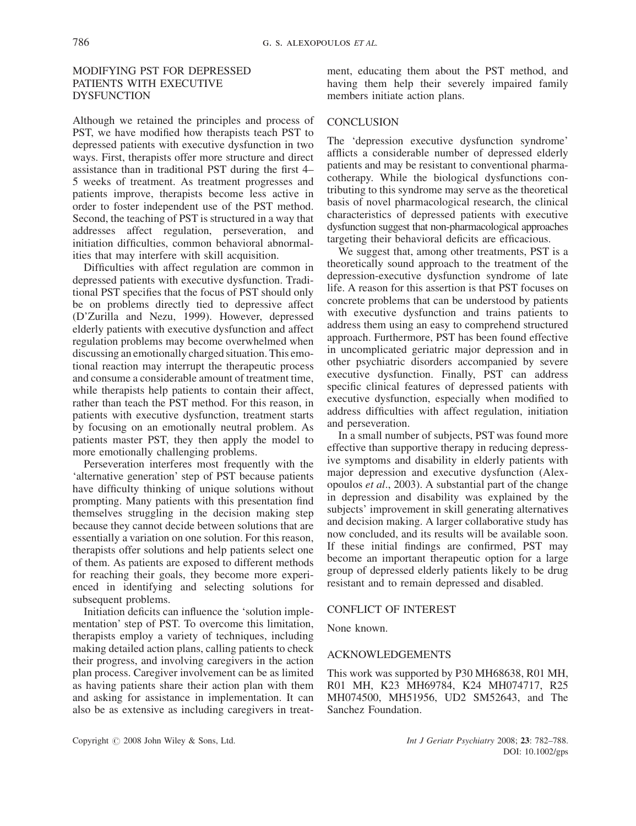## MODIFYING PST FOR DEPRESSED PATIENTS WITH EXECUTIVE **DYSFUNCTION**

Although we retained the principles and process of PST, we have modified how therapists teach PST to depressed patients with executive dysfunction in two ways. First, therapists offer more structure and direct assistance than in traditional PST during the first 4– 5 weeks of treatment. As treatment progresses and patients improve, therapists become less active in order to foster independent use of the PST method. Second, the teaching of PST is structured in a way that addresses affect regulation, perseveration, and initiation difficulties, common behavioral abnormalities that may interfere with skill acquisition.

Difficulties with affect regulation are common in depressed patients with executive dysfunction. Traditional PST specifies that the focus of PST should only be on problems directly tied to depressive affect (D'Zurilla and Nezu, 1999). However, depressed elderly patients with executive dysfunction and affect regulation problems may become overwhelmed when discussing an emotionally charged situation. This emotional reaction may interrupt the therapeutic process and consume a considerable amount of treatment time, while therapists help patients to contain their affect, rather than teach the PST method. For this reason, in patients with executive dysfunction, treatment starts by focusing on an emotionally neutral problem. As patients master PST, they then apply the model to more emotionally challenging problems.

Perseveration interferes most frequently with the 'alternative generation' step of PST because patients have difficulty thinking of unique solutions without prompting. Many patients with this presentation find themselves struggling in the decision making step because they cannot decide between solutions that are essentially a variation on one solution. For this reason, therapists offer solutions and help patients select one of them. As patients are exposed to different methods for reaching their goals, they become more experienced in identifying and selecting solutions for subsequent problems.

Initiation deficits can influence the 'solution implementation' step of PST. To overcome this limitation, therapists employ a variety of techniques, including making detailed action plans, calling patients to check their progress, and involving caregivers in the action plan process. Caregiver involvement can be as limited as having patients share their action plan with them and asking for assistance in implementation. It can also be as extensive as including caregivers in treatment, educating them about the PST method, and having them help their severely impaired family members initiate action plans.

#### **CONCLUSION**

The 'depression executive dysfunction syndrome' afflicts a considerable number of depressed elderly patients and may be resistant to conventional pharmacotherapy. While the biological dysfunctions contributing to this syndrome may serve as the theoretical basis of novel pharmacological research, the clinical characteristics of depressed patients with executive dysfunction suggest that non-pharmacological approaches targeting their behavioral deficits are efficacious.

We suggest that, among other treatments, PST is a theoretically sound approach to the treatment of the depression-executive dysfunction syndrome of late life. A reason for this assertion is that PST focuses on concrete problems that can be understood by patients with executive dysfunction and trains patients to address them using an easy to comprehend structured approach. Furthermore, PST has been found effective in uncomplicated geriatric major depression and in other psychiatric disorders accompanied by severe executive dysfunction. Finally, PST can address specific clinical features of depressed patients with executive dysfunction, especially when modified to address difficulties with affect regulation, initiation and perseveration.

In a small number of subjects, PST was found more effective than supportive therapy in reducing depressive symptoms and disability in elderly patients with major depression and executive dysfunction (Alexopoulos et al., 2003). A substantial part of the change in depression and disability was explained by the subjects' improvement in skill generating alternatives and decision making. A larger collaborative study has now concluded, and its results will be available soon. If these initial findings are confirmed, PST may become an important therapeutic option for a large group of depressed elderly patients likely to be drug resistant and to remain depressed and disabled.

#### CONFLICT OF INTEREST

None known.

#### ACKNOWLEDGEMENTS

This work was supported by P30 MH68638, R01 MH, R01 MH, K23 MH69784, K24 MH074717, R25 MH074500, MH51956, UD2 SM52643, and The Sanchez Foundation.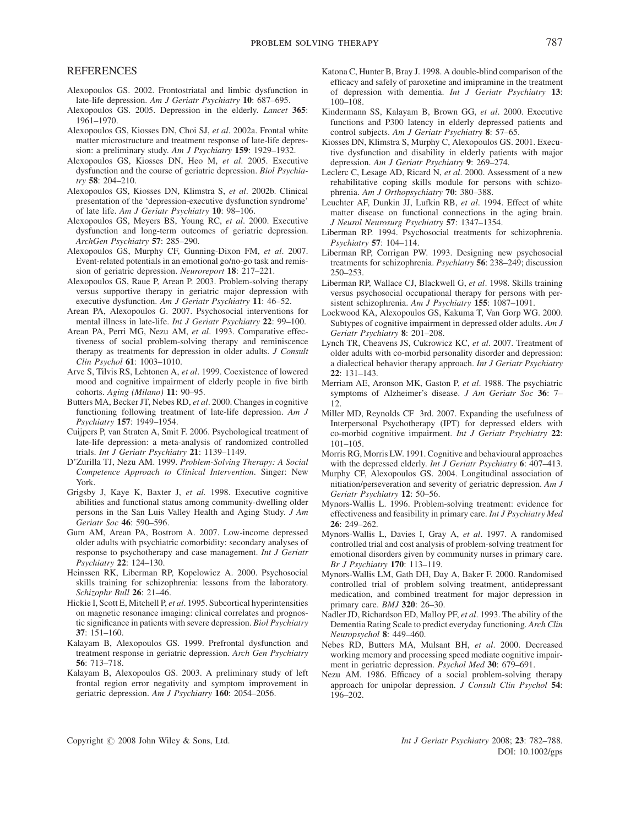#### REFERENCES

- Alexopoulos GS. 2002. Frontostriatal and limbic dysfunction in late-life depression. Am J Geriatr Psychiatry 10: 687–695.
- Alexopoulos GS. 2005. Depression in the elderly. Lancet 365: 1961–1970.
- Alexopoulos GS, Kiosses DN, Choi SJ, et al. 2002a. Frontal white matter microstructure and treatment response of late-life depression: a preliminary study. Am J Psychiatry 159: 1929-1932.
- Alexopoulos GS, Kiosses DN, Heo M, et al. 2005. Executive dysfunction and the course of geriatric depression. Biol Psychiatry 58: 204-210.
- Alexopoulos GS, Kiosses DN, Klimstra S, et al. 2002b. Clinical presentation of the 'depression-executive dysfunction syndrome' of late life. Am J Geriatr Psychiatry 10: 98–106.
- Alexopoulos GS, Meyers BS, Young RC, et al. 2000. Executive dysfunction and long-term outcomes of geriatric depression. ArchGen Psychiatry 57: 285–290.
- Alexopoulos GS, Murphy CF, Gunning-Dixon FM, et al. 2007. Event-related potentials in an emotional go/no-go task and remission of geriatric depression. Neuroreport 18: 217-221.
- Alexopoulos GS, Raue P, Arean P. 2003. Problem-solving therapy versus supportive therapy in geriatric major depression with executive dysfunction. Am J Geriatr Psychiatry 11: 46-52.
- Arean PA, Alexopoulos G. 2007. Psychosocial interventions for mental illness in late-life. Int J Geriatr Psychiatry 22: 99–100.
- Arean PA, Perri MG, Nezu AM, et al. 1993. Comparative effectiveness of social problem-solving therapy and reminiscence therapy as treatments for depression in older adults. J Consult Clin Psychol 61: 1003–1010.
- Arve S, Tilvis RS, Lehtonen A, et al. 1999. Coexistence of lowered mood and cognitive impairment of elderly people in five birth cohorts. Aging (Milano) 11: 90-95.
- Butters MA, Becker JT, Nebes RD, et al. 2000. Changes in cognitive functioning following treatment of late-life depression. Am J Psychiatry 157: 1949–1954.
- Cuijpers P, van Straten A, Smit F. 2006. Psychological treatment of late-life depression: a meta-analysis of randomized controlled trials. Int J Geriatr Psychiatry 21: 1139–1149.
- D'Zurilla TJ, Nezu AM. 1999. Problem-Solving Therapy: A Social Competence Approach to Clinical Intervention. Singer: New York.
- Grigsby J, Kaye K, Baxter J, et al. 1998. Executive cognitive abilities and functional status among community-dwelling older persons in the San Luis Valley Health and Aging Study. J Am Geriatr Soc 46: 590-596.
- Gum AM, Arean PA, Bostrom A. 2007. Low-income depressed older adults with psychiatric comorbidity: secondary analyses of response to psychotherapy and case management. Int J Geriatr Psychiatry 22: 124–130.
- Heinssen RK, Liberman RP, Kopelowicz A. 2000. Psychosocial skills training for schizophrenia: lessons from the laboratory. Schizophr Bull 26: 21–46.
- Hickie I, Scott E, Mitchell P, et al. 1995. Subcortical hyperintensities on magnetic resonance imaging: clinical correlates and prognostic significance in patients with severe depression. Biol Psychiatry 37: 151–160.
- Kalayam B, Alexopoulos GS. 1999. Prefrontal dysfunction and treatment response in geriatric depression. Arch Gen Psychiatry 56: 713–718.
- Kalayam B, Alexopoulos GS. 2003. A preliminary study of left frontal region error negativity and symptom improvement in geriatric depression. Am J Psychiatry 160: 2054–2056.
- Katona C, Hunter B, Bray J. 1998. A double-blind comparison of the efficacy and safely of paroxetine and imipramine in the treatment of depression with dementia. Int J Geriatr Psychiatry 13: 100–108.
- Kindermann SS, Kalayam B, Brown GG, et al. 2000. Executive functions and P300 latency in elderly depressed patients and control subjects. Am J Geriatr Psychiatry 8: 57–65.
- Kiosses DN, Klimstra S, Murphy C, Alexopoulos GS. 2001. Executive dysfunction and disability in elderly patients with major depression. Am J Geriatr Psychiatry 9: 269–274.
- Leclerc C, Lesage AD, Ricard N, et al. 2000. Assessment of a new rehabilitative coping skills module for persons with schizophrenia. Am J Orthopsychiatry 70: 380–388.
- Leuchter AF, Dunkin JJ, Lufkin RB, et al. 1994. Effect of white matter disease on functional connections in the aging brain. J Neurol Neurosurg Psychiatry 57: 1347–1354.
- Liberman RP. 1994. Psychosocial treatments for schizophrenia. Psychiatry 57: 104–114.
- Liberman RP, Corrigan PW. 1993. Designing new psychosocial treatments for schizophrenia. Psychiatry 56: 238–249; discussion 250–253.
- Liberman RP, Wallace CJ, Blackwell G, et al. 1998. Skills training versus psychosocial occupational therapy for persons with persistent schizophrenia. Am J Psychiatry 155: 1087–1091.
- Lockwood KA, Alexopoulos GS, Kakuma T, Van Gorp WG. 2000. Subtypes of cognitive impairment in depressed older adults. Am J Geriatr Psychiatry 8: 201–208.
- Lynch TR, Cheavens JS, Cukrowicz KC, et al. 2007. Treatment of older adults with co-morbid personality disorder and depression: a dialectical behavior therapy approach. Int J Geriatr Psychiatry 22: 131–143.
- Merriam AE, Aronson MK, Gaston P, et al. 1988. The psychiatric symptoms of Alzheimer's disease. *J Am Geriatr Soc* 36: 7– 12.
- Miller MD, Reynolds CF 3rd. 2007. Expanding the usefulness of Interpersonal Psychotherapy (IPT) for depressed elders with co-morbid cognitive impairment. Int J Geriatr Psychiatry 22: 101–105.
- Morris RG, Morris LW. 1991. Cognitive and behavioural approaches with the depressed elderly. Int J Geriatr Psychiatry 6: 407-413.
- Murphy CF, Alexopoulos GS. 2004. Longitudinal association of nitiation/perseveration and severity of geriatric depression. Am J Geriatr Psychiatry 12: 50–56.
- Mynors-Wallis L. 1996. Problem-solving treatment: evidence for effectiveness and feasibility in primary care. Int J Psychiatry Med 26: 249–262.
- Mynors-Wallis L, Davies I, Gray A, et al. 1997. A randomised controlled trial and cost analysis of problem-solving treatment for emotional disorders given by community nurses in primary care. Br J Psychiatry 170: 113–119.
- Mynors-Wallis LM, Gath DH, Day A, Baker F. 2000. Randomised controlled trial of problem solving treatment, antidepressant medication, and combined treatment for major depression in primary care. BMJ 320: 26–30.
- Nadler JD, Richardson ED, Malloy PF, et al. 1993. The ability of the Dementia Rating Scale to predict everyday functioning. Arch Clin Neuropsychol 8: 449–460.
- Nebes RD, Butters MA, Mulsant BH, et al. 2000. Decreased working memory and processing speed mediate cognitive impairment in geriatric depression. Psychol Med 30: 679–691.
- Nezu AM. 1986. Efficacy of a social problem-solving therapy approach for unipolar depression. J Consult Clin Psychol 54: 196–202.

Copyright  $\odot$  2008 John Wiley & Sons, Ltd. Int J Geriatr Psychiatry 2008; 23: 782–788.

DOI: 10.1002/gps